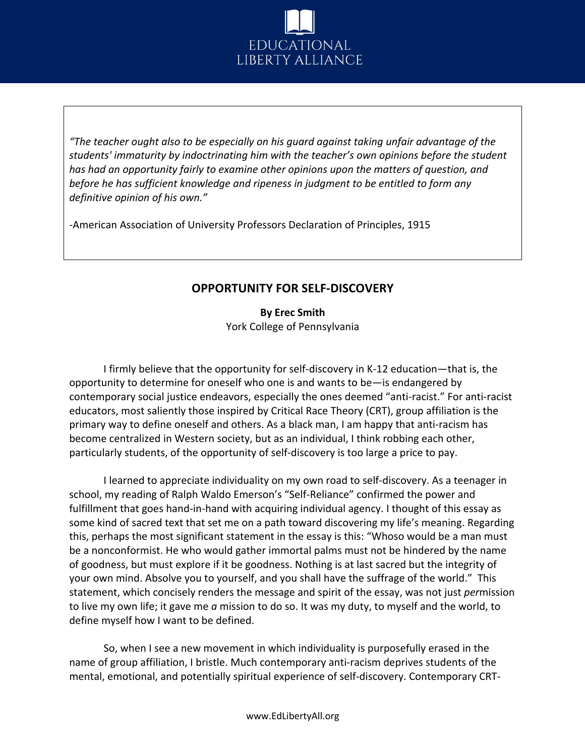

*"The teacher ought also to be especially on his guard against taking unfair advantage of the students' immaturity by indoctrinating him with the teacher's own opinions before the student has had an opportunity fairly to examine other opinions upon the matters of question, and before he has sufficient knowledge and ripeness in judgment to be entitled to form any definitive opinion of his own."*

-American Association of University Professors Declaration of Principles, 1915

## **OPPORTUNITY FOR SELF-DISCOVERY**

**By Erec Smith**  York College of Pennsylvania

I firmly believe that the opportunity for self-discovery in K-12 education—that is, the opportunity to determine for oneself who one is and wants to be—is endangered by contemporary social justice endeavors, especially the ones deemed "anti-racist." For anti-racist educators, most saliently those inspired by Critical Race Theory (CRT), group affiliation is the primary way to define oneself and others. As a black man, I am happy that anti-racism has become centralized in Western society, but as an individual, I think robbing each other, particularly students, of the opportunity of self-discovery is too large a price to pay.

I learned to appreciate individuality on my own road to self-discovery. As a teenager in school, my reading of Ralph Waldo Emerson's "Self-Reliance" confirmed the power and fulfillment that goes hand-in-hand with acquiring individual agency. I thought of this essay as some kind of sacred text that set me on a path toward discovering my life's meaning. Regarding this, perhaps the most significant statement in the essay is this: "Whoso would be a man must be a nonconformist. He who would gather immortal palms must not be hindered by the name of goodness, but must explore if it be goodness. Nothing is at last sacred but the integrity of your own mind. Absolve you to yourself, and you shall have the suffrage of the world." This statement, which concisely renders the message and spirit of the essay, was not just *per*mission to live my own life; it gave me *a* mission to do so. It was my duty, to myself and the world, to define myself how I want to be defined.

So, when I see a new movement in which individuality is purposefully erased in the name of group affiliation, I bristle. Much contemporary anti-racism deprives students of the mental, emotional, and potentially spiritual experience of self-discovery. Contemporary CRT-